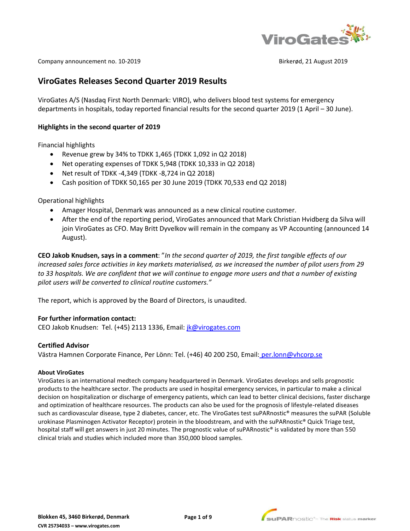

Company announcement no. 10-2019 **Birkerød, 21 August 2019** Birkerød, 21 August 2019

# **ViroGates Releases Second Quarter 2019 Results**

ViroGates A/S (Nasdaq First North Denmark: VIRO), who delivers blood test systems for emergency departments in hospitals, today reported financial results for the second quarter 2019 (1 April – 30 June).

#### **Highlights in the second quarter of 2019**

Financial highlights

- Revenue grew by 34% to TDKK 1,465 (TDKK 1,092 in Q2 2018)
- Net operating expenses of TDKK 5,948 (TDKK 10,333 in Q2 2018)
- Net result of TDKK -4,349 (TDKK -8,724 in Q2 2018)
- Cash position of TDKK 50,165 per 30 June 2019 (TDKK 70,533 end Q2 2018)

Operational highlights

- Amager Hospital, Denmark was announced as a new clinical routine customer.
- After the end of the reporting period, ViroGates announced that Mark Christian Hvidberg da Silva will join ViroGates as CFO. May Britt Dyvelkov will remain in the company as VP Accounting (announced 14 August).

**CEO Jakob Knudsen, says in a comment**: "*In the second quarter of 2019, the first tangible effects of our increased sales force activities in key markets materialised, as we increased the number of pilot users from 29 to 33 hospitals. We are confident that we will continue to engage more users and that a number of existing pilot users will be converted to clinical routine customers."*

The report, which is approved by the Board of Directors, is unaudited.

## **For further information contact:**

CEO Jakob Knudsen: Tel. (+45) 2113 1336, Email: [jk@virogates.com](mailto:jk@virogates.com)

#### **Certified Advisor**

Västra Hamnen Corporate Finance, Per Lönn: Tel. (+46) 40 200 250, Email: [per.lonn@vhcorp.se](mailto:per.lonn@vhcorp.se) 

#### **About ViroGates**

ViroGates is an international medtech company headquartered in Denmark. ViroGates develops and sells prognostic products to the healthcare sector. The products are used in hospital emergency services, in particular to make a clinical decision on hospitalization or discharge of emergency patients, which can lead to better clinical decisions, faster discharge and optimization of healthcare resources. The products can also be used for the prognosis of lifestyle-related diseases such as cardiovascular disease, type 2 diabetes, cancer, etc. The ViroGates test suPARnostic® measures the suPAR (Soluble urokinase Plasminogen Activator Receptor) protein in the bloodstream, and with the suPARnostic® Quick Triage test, hospital staff will get answers in just 20 minutes. The prognostic value of suPARnostic® is validated by more than 550 clinical trials and studies which included more than 350,000 blood samples.

**Page 1 of 9**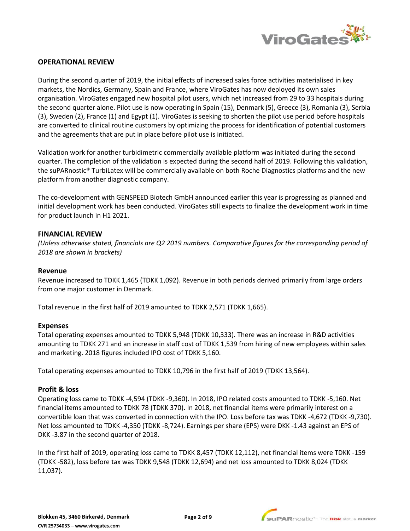

# **OPERATIONAL REVIEW**

During the second quarter of 2019, the initial effects of increased sales force activities materialised in key markets, the Nordics, Germany, Spain and France, where ViroGates has now deployed its own sales organisation. ViroGates engaged new hospital pilot users, which net increased from 29 to 33 hospitals during the second quarter alone. Pilot use is now operating in Spain (15), Denmark (5), Greece (3), Romania (3), Serbia (3), Sweden (2), France (1) and Egypt (1). ViroGates is seeking to shorten the pilot use period before hospitals are converted to clinical routine customers by optimizing the process for identification of potential customers and the agreements that are put in place before pilot use is initiated.

Validation work for another turbidimetric commercially available platform was initiated during the second quarter. The completion of the validation is expected during the second half of 2019. Following this validation, the suPARnostic® TurbiLatex will be commercially available on both Roche Diagnostics platforms and the new platform from another diagnostic company.

The co-development with GENSPEED Biotech GmbH announced earlier this year is progressing as planned and initial development work has been conducted. ViroGates still expects to finalize the development work in time for product launch in H1 2021.

## **FINANCIAL REVIEW**

*(Unless otherwise stated, financials are Q2 2019 numbers. Comparative figures for the corresponding period of 2018 are shown in brackets)* 

#### **Revenue**

Revenue increased to TDKK 1,465 (TDKK 1,092). Revenue in both periods derived primarily from large orders from one major customer in Denmark.

Total revenue in the first half of 2019 amounted to TDKK 2,571 (TDKK 1,665).

## **Expenses**

Total operating expenses amounted to TDKK 5,948 (TDKK 10,333). There was an increase in R&D activities amounting to TDKK 271 and an increase in staff cost of TDKK 1,539 from hiring of new employees within sales and marketing. 2018 figures included IPO cost of TDKK 5,160.

Total operating expenses amounted to TDKK 10,796 in the first half of 2019 (TDKK 13,564).

## **Profit & loss**

Operating loss came to TDKK -4,594 (TDKK -9,360). In 2018, IPO related costs amounted to TDKK -5,160. Net financial items amounted to TDKK 78 (TDKK 370). In 2018, net financial items were primarily interest on a convertible loan that was converted in connection with the IPO. Loss before tax was TDKK -4,672 (TDKK -9,730). Net loss amounted to TDKK -4,350 (TDKK -8,724). Earnings per share (EPS) were DKK -1.43 against an EPS of DKK -3.87 in the second quarter of 2018.

In the first half of 2019, operating loss came to TDKK 8,457 (TDKK 12,112), net financial items were TDKK -159 (TDKK -582), loss before tax was TDKK 9,548 (TDKK 12,694) and net loss amounted to TDKK 8,024 (TDKK 11,037).

**Page 2 of 9**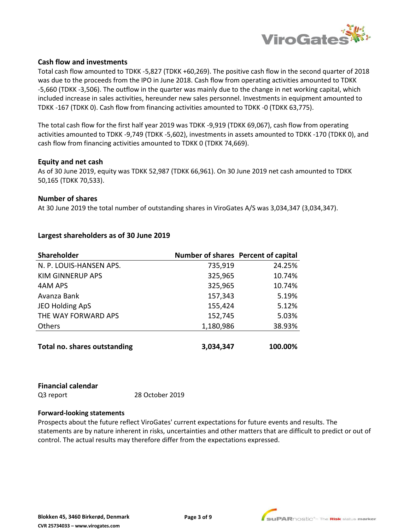

## **Cash flow and investments**

Total cash flow amounted to TDKK -5,827 (TDKK +60,269). The positive cash flow in the second quarter of 2018 was due to the proceeds from the IPO in June 2018. Cash flow from operating activities amounted to TDKK -5,660 (TDKK -3,506). The outflow in the quarter was mainly due to the change in net working capital, which included increase in sales activities, hereunder new sales personnel. Investments in equipment amounted to TDKK -167 (TDKK 0). Cash flow from financing activities amounted to TDKK -0 (TDKK 63,775).

The total cash flow for the first half year 2019 was TDKK -9,919 (TDKK 69,067), cash flow from operating activities amounted to TDKK -9,749 (TDKK -5,602), investments in assets amounted to TDKK -170 (TDKK 0), and cash flow from financing activities amounted to TDKK 0 (TDKK 74,669).

## **Equity and net cash**

As of 30 June 2019, equity was TDKK 52,987 (TDKK 66,961). On 30 June 2019 net cash amounted to TDKK 50,165 (TDKK 70,533).

# **Number of shares**

At 30 June 2019 the total number of outstanding shares in ViroGates A/S was 3,034,347 (3,034,347).

| <b>Shareholder</b>                  | Number of shares Percent of capital |         |
|-------------------------------------|-------------------------------------|---------|
| N. P. LOUIS-HANSEN APS.             | 735,919                             | 24.25%  |
| <b>KIM GINNERUP APS</b>             | 325,965                             | 10.74%  |
| 4AM APS                             | 325,965                             | 10.74%  |
| Avanza Bank                         | 157,343                             | 5.19%   |
| JEO Holding ApS                     | 155,424                             | 5.12%   |
| THE WAY FORWARD APS                 | 152,745                             | 5.03%   |
| Others                              | 1,180,986                           | 38.93%  |
|                                     |                                     |         |
| <b>Total no. shares outstanding</b> | 3,034,347                           | 100.00% |

# **Largest shareholders as of 30 June 2019**

# **Financial calendar**

Q3 report 28 October 2019

## **Forward-looking statements**

Prospects about the future reflect ViroGates' current expectations for future events and results. The statements are by nature inherent in risks, uncertainties and other matters that are difficult to predict or out of control. The actual results may therefore differ from the expectations expressed.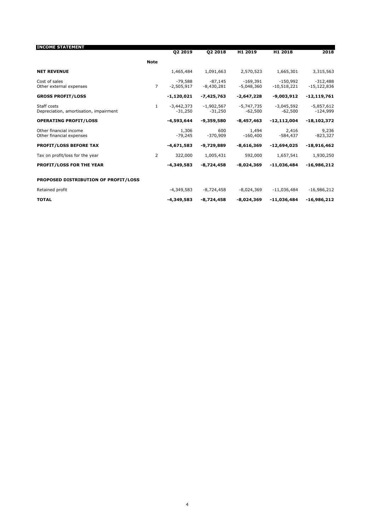| <b>INCOME STATEMENT</b>                               |                | Q2 2019                   | 02 2018                   | H1 2019                    | H1 2018                     | 2018                        |
|-------------------------------------------------------|----------------|---------------------------|---------------------------|----------------------------|-----------------------------|-----------------------------|
|                                                       | <b>Note</b>    |                           |                           |                            |                             |                             |
| <b>NET REVENUE</b>                                    |                | 1,465,484                 | 1,091,663                 | 2,570,523                  | 1,665,301                   | 3,315,563                   |
| Cost of sales<br>Other external expenses              | $\overline{7}$ | $-79.588$<br>$-2,505,917$ | $-87.145$<br>$-8,430,281$ | $-169,391$<br>$-5,048,360$ | $-150.992$<br>$-10,518,221$ | $-312,488$<br>$-15,122,836$ |
| <b>GROSS PROFIT/LOSS</b>                              |                | $-1,120,021$              | -7,425,763                | $-2,647,228$               | -9,003,912                  | $-12,119,761$               |
| Staff costs<br>Depreciation, amortisation, impairment | $\mathbf{1}$   | $-3,442,373$<br>$-31,250$ | $-1,902,567$<br>$-31,250$ | -5,747,735<br>$-62,500$    | $-3,045,592$<br>$-62,500$   | $-5,857,612$<br>$-124,999$  |
| <b>OPERATING PROFIT/LOSS</b>                          |                | $-4,593,644$              | $-9,359,580$              | $-8,457,463$               | $-12,112,004$               | $-18, 102, 372$             |
| Other financial income<br>Other financial expenses    |                | 1,306<br>$-79.245$        | 600<br>$-370,909$         | 1,494<br>$-160,400$        | 2,416<br>$-584.437$         | 9,236<br>$-823,327$         |
| <b>PROFIT/LOSS BEFORE TAX</b>                         |                | $-4,671,583$              | -9,729,889                | $-8,616,369$               | $-12,694,025$               | $-18,916,462$               |
| Tax on profit/loss for the year                       | 2              | 322,000                   | 1,005,431                 | 592,000                    | 1,657,541                   | 1,930,250                   |
| <b>PROFIT/LOSS FOR THE YEAR</b>                       |                | $-4,349,583$              | $-8.724.458$              | $-8,024,369$               | $-11.036.484$               | $-16,986,212$               |
| PROPOSED DISTRIBUTION OF PROFIT/LOSS                  |                |                           |                           |                            |                             |                             |
| Retained profit                                       |                | $-4,349,583$              | $-8,724,458$              | $-8,024,369$               | $-11,036,484$               | $-16,986,212$               |
| <b>TOTAL</b>                                          |                | $-4,349,583$              | $-8,724,458$              | $-8,024,369$               | $-11,036,484$               | $-16,986,212$               |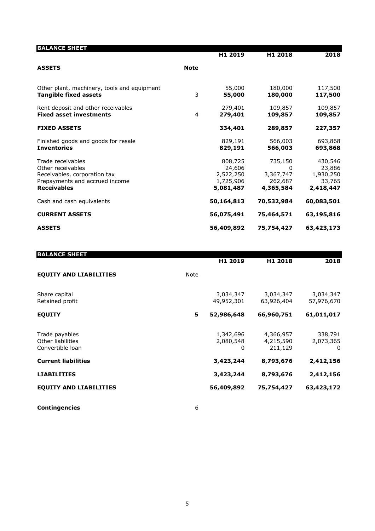| <b>BALANCE SHEET</b>                                                        |             |                        |                      |                     |
|-----------------------------------------------------------------------------|-------------|------------------------|----------------------|---------------------|
|                                                                             |             | H1 2019                | H1 2018              | 2018                |
| <b>ASSETS</b>                                                               | <b>Note</b> |                        |                      |                     |
|                                                                             |             | 55,000                 | 180,000              | 117,500             |
| Other plant, machinery, tools and equipment<br><b>Tangible fixed assets</b> | 3           | 55,000                 | 180,000              | 117,500             |
| Rent deposit and other receivables<br><b>Fixed asset investments</b>        | 4           | 279,401<br>279,401     | 109,857              | 109,857             |
|                                                                             |             |                        | 109,857              | 109,857             |
| <b>FIXED ASSETS</b>                                                         |             | 334,401                | 289,857              | 227,357             |
| Finished goods and goods for resale                                         |             | 829,191                | 566,003              | 693,868             |
| <b>Inventories</b>                                                          |             | 829,191                | 566,003              | 693,868             |
| Trade receivables                                                           |             | 808,725                | 735,150              | 430,546             |
| Other receivables                                                           |             | 24,606                 | 0                    | 23,886              |
| Receivables, corporation tax<br>Prepayments and accrued income              |             | 2,522,250<br>1,725,906 | 3,367,747<br>262,687 | 1,930,250<br>33,765 |
| <b>Receivables</b>                                                          |             | 5,081,487              | 4,365,584            | 2,418,447           |
| Cash and cash equivalents                                                   |             | 50,164,813             | 70,532,984           | 60,083,501          |
| <b>CURRENT ASSETS</b>                                                       |             | 56,075,491             | 75,464,571           | 63,195,816          |
| <b>ASSETS</b>                                                               |             | 56,409,892             | 75,754,427           | 63,423,173          |

| <b>BALANCE SHEET</b>                                    |      | H1 2019                     | H1 2018                           | 2018                      |
|---------------------------------------------------------|------|-----------------------------|-----------------------------------|---------------------------|
| <b>EQUITY AND LIABILITIES</b>                           | Note |                             |                                   |                           |
| Share capital<br>Retained profit                        |      | 3,034,347<br>49,952,301     | 3,034,347<br>63,926,404           | 3,034,347<br>57,976,670   |
| <b>EQUITY</b>                                           | 5    | 52,986,648                  | 66,960,751                        | 61,011,017                |
| Trade payables<br>Other liabilities<br>Convertible loan |      | 1,342,696<br>2,080,548<br>0 | 4,366,957<br>4,215,590<br>211,129 | 338,791<br>2,073,365<br>0 |
| <b>Current liabilities</b>                              |      | 3,423,244                   | 8,793,676                         | 2,412,156                 |
| <b>LIABILITIES</b>                                      |      | 3,423,244                   | 8,793,676                         | 2,412,156                 |
| <b>EQUITY AND LIABILITIES</b>                           |      | 56,409,892                  | 75,754,427                        | 63,423,172                |
|                                                         |      |                             |                                   |                           |

**Contingencies** 6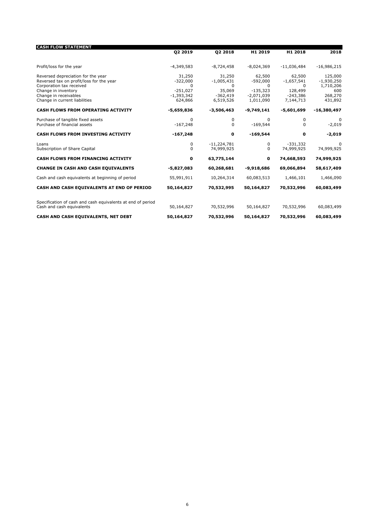| <b>CASH FLOW STATEMENT</b>                                                               |                                 |                             |                                        |                                       |                             |
|------------------------------------------------------------------------------------------|---------------------------------|-----------------------------|----------------------------------------|---------------------------------------|-----------------------------|
|                                                                                          | Q2 2019                         | 02 2018                     | H <sub>1</sub> 2019                    | H <sub>1</sub> 2018                   | 2018                        |
| Profit/loss for the year                                                                 | $-4,349,583$                    | $-8,724,458$                | $-8,024,369$                           | $-11,036,484$                         | $-16,986,215$               |
| Reversed depreciation for the year<br>Reversed tax on profit/loss for the year           | 31,250<br>$-322,000$            | 31,250<br>$-1,005,431$      | 62,500<br>$-592,000$                   | 62,500<br>$-1,657,541$                | 125,000<br>$-1,930,250$     |
| Corporation tax received<br>Change in inventory<br>Change in receivables                 | 0<br>$-251,027$<br>$-1,393,342$ | 0<br>35,069<br>$-362,419$   | $\Omega$<br>$-135,323$<br>$-2,071,039$ | <sup>0</sup><br>128,499<br>$-243,386$ | 1,710,206<br>600<br>268,270 |
| Change in current liabilities<br><b>CASH FLOWS FROM OPERATING ACTIVITY</b>               | 624,866<br>$-5,659,836$         | 6,519,526<br>$-3,506,463$   | 1,011,090<br>$-9,749,141$              | 7,144,713<br>$-5,601,699$             | 431,892<br>$-16,380,497$    |
| Purchase of tangible fixed assets<br>Purchase of financial assets                        | 0<br>$-167,248$                 | 0<br>0                      | $\Omega$<br>$-169,544$                 | $\Omega$<br>$\Omega$                  | 0<br>$-2,019$               |
| CASH FLOWS FROM INVESTING ACTIVITY                                                       | $-167,248$                      | 0                           | $-169,544$                             | $\mathbf o$                           | $-2,019$                    |
| Loans<br>Subscription of Share Capital                                                   | 0<br>0                          | $-11,224,781$<br>74,999,925 | 0<br>$\Omega$                          | $-331,332$<br>74,999,925              | $\Omega$<br>74,999,925      |
| <b>CASH FLOWS FROM FINANCING ACTIVITY</b>                                                | 0                               | 63,775,144                  | 0                                      | 74,668,593                            | 74,999,925                  |
| <b>CHANGE IN CASH AND CASH EQUIVALENTS</b>                                               | $-5,827,083$                    | 60,268,681                  | $-9,918,686$                           | 69,066,894                            | 58,617,409                  |
| Cash and cash equivalents at beginning of period                                         | 55,991,911                      | 10,264,314                  | 60,083,513                             | 1,466,101                             | 1,466,090                   |
| CASH AND CASH EQUIVALENTS AT END OF PERIOD                                               | 50,164,827                      | 70,532,995                  | 50,164,827                             | 70,532,996                            | 60,083,499                  |
| Specification of cash and cash equivalents at end of period<br>Cash and cash equivalents | 50,164,827                      | 70,532,996                  | 50,164,827                             | 70,532,996                            | 60,083,499                  |
| CASH AND CASH EQUIVALENTS, NET DEBT                                                      | 50,164,827                      | 70,532,996                  | 50,164,827                             | 70,532,996                            | 60,083,499                  |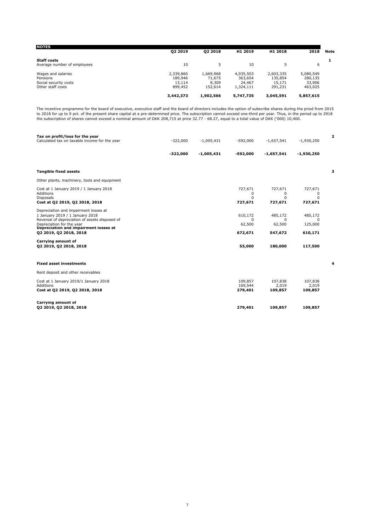| 02 2019   | 02 2018   | H1 2019   | H1 2018   | 2018      | <b>Note</b> |
|-----------|-----------|-----------|-----------|-----------|-------------|
|           |           |           |           |           |             |
| 10        |           | 10        |           | 6         |             |
| 2,339,860 | 1,669,968 | 4,035,503 | 2,603,335 | 5,080,549 |             |
| 189,946   | 71,675    | 363,654   | 135,854   | 280,135   |             |
| 13,114    | 8,309     | 24,467    | 15,171    | 33,906    |             |
| 899,452   | 152.614   | 1,324,111 | 291,231   | 463,025   |             |
| 3,442,373 | 1,902,566 | 5,747,735 | 3,045,591 | 5,857,615 |             |
|           |           |           |           |           |             |

The incentive programme for the board of executive, executive staff and the board of directors includes the option of subscribe shares during the priod from 2015<br>to 2018 for up to 9 pct. of the present share capital at a p

| Tax on profit/loss for the year<br>Calculated tax on taxable income for the year                                                                                                                                           | $-322,000$ | $-1,005,431$ | $-592,000$                               | $-1,657,541$                             | $-1,930,250$                              | $\overline{\mathbf{2}}$ |
|----------------------------------------------------------------------------------------------------------------------------------------------------------------------------------------------------------------------------|------------|--------------|------------------------------------------|------------------------------------------|-------------------------------------------|-------------------------|
|                                                                                                                                                                                                                            | $-322,000$ | $-1,005,431$ | -592,000                                 | $-1,657,541$                             | $-1,930,250$                              |                         |
| <b>Tangible fixed assets</b>                                                                                                                                                                                               |            |              |                                          |                                          |                                           | з                       |
| Other plants, machinery, tools and equipment                                                                                                                                                                               |            |              |                                          |                                          |                                           |                         |
| Cost at 1 January 2019 / 1 January 2018<br>Additions<br><b>Disposals</b><br>Cost at Q2 2019, Q2 2018, 2018                                                                                                                 |            |              | 727,671<br>0<br>$\Omega$<br>727,671      | 727,671<br>0<br>$\Omega$<br>727,671      | 727,671<br>0<br>$\Omega$<br>727,671       |                         |
| Depreciation and impairment losses at<br>1 January 2019 / 1 January 2018<br>Reversal of depreciation of assets disposed of<br>Depreciation for the year<br>Depreciation and impairment losses at<br>02 2019, 02 2018, 2018 |            |              | 610,172<br>$\Omega$<br>62,500<br>672,671 | 485,172<br>$\Omega$<br>62,500<br>547,672 | 485,172<br>$\Omega$<br>125,000<br>610,171 |                         |
| Carrying amount of<br>02 2019, 02 2018, 2018                                                                                                                                                                               |            |              | 55,000                                   | 180,000                                  | 117,500                                   |                         |
| <b>Fixed asset investments</b>                                                                                                                                                                                             |            |              |                                          |                                          |                                           | 4                       |
| Rent deposit and other receivables                                                                                                                                                                                         |            |              |                                          |                                          |                                           |                         |
| Cost at 1 January 2019/1 January 2018<br>Additions<br>Cost at Q2 2019, Q2 2018, 2018                                                                                                                                       |            |              | 109,857<br>169,544<br>279,401            | 107,838<br>2,019<br>109,857              | 107,838<br>2,019<br>109,857               |                         |
| Carrying amount of<br>Q2 2019, Q2 2018, 2018                                                                                                                                                                               |            |              | 279,401                                  | 109,857                                  | 109,857                                   |                         |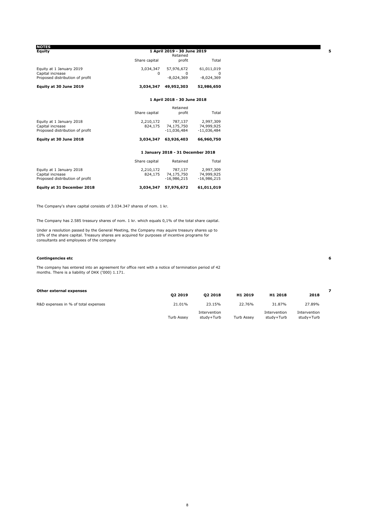| <b>NOTES</b>                    |               |                                   |               |  |  |
|---------------------------------|---------------|-----------------------------------|---------------|--|--|
| Equity                          |               | 1 April 2019 - 30 June 2019       |               |  |  |
|                                 |               | Retained                          |               |  |  |
|                                 | Share capital | profit                            | Total         |  |  |
| Equity at 1 January 2019        | 3,034,347     | 57,976,672                        | 61,011,019    |  |  |
| Capital increase                | $\Omega$      | $\Omega$                          | $\Omega$      |  |  |
| Proposed distribution of profit |               | $-8,024,369$                      | $-8,024,369$  |  |  |
| Equity at 30 June 2019          | 3,034,347     | 49,952,303                        | 52,986,650    |  |  |
|                                 |               | 1 April 2018 - 30 June 2018       |               |  |  |
|                                 |               | Retained                          |               |  |  |
|                                 | Share capital | profit                            | Total         |  |  |
| Equity at 1 January 2018        | 2,210,172     | 787,137                           | 2,997,309     |  |  |
| Capital increase                | 824,175       | 74,175,750                        | 74,999,925    |  |  |
| Proposed distribution of profit |               | $-11,036,484$                     | $-11,036,484$ |  |  |
| Equity at 30 June 2018          | 3,034,347     | 63,926,403                        | 66,960,750    |  |  |
|                                 |               | 1 January 2018 - 31 December 2018 |               |  |  |
|                                 | Share capital | Retained                          | Total         |  |  |
| Equity at 1 January 2018        | 2,210,172     | 787,137                           | 2,997,309     |  |  |
| Capital increase                | 824,175       | 74,175,750                        | 74,999,925    |  |  |
| Proposed distribution of profit |               | $-16,986,215$                     | $-16,986,215$ |  |  |
| Equity at 31 December 2018      | 3,034,347     | 57,976,672                        | 61,011,019    |  |  |

The Company's share capital consists of 3.034.347 shares of nom. 1 kr.

The Company has 2.585 treasury shares of nom. 1 kr. which equals 0,1% of the total share capital.

Under a resolution passed by the General Meeting, the Company may aquire treasury shares up to 10% of the share capital. Treasury shares are acquired for purposes of incentive programs for consultants and employees of the company

#### **Contingencies etc 6**

The company has entered into an agreement for office rent with a notice of termination period of 42 months. There is a liability of DKK ('000) 1.171.

| Other external expenses             |                   |                            |                   |                            |                            |  |
|-------------------------------------|-------------------|----------------------------|-------------------|----------------------------|----------------------------|--|
|                                     | 02 2019           | 02 2018                    | H1 2019           | H1 2018                    | 2018                       |  |
| R&D expenses in % of total expenses | 21.01%            | 23.15%                     | 22.76%            | 31.87%                     | 27.89%                     |  |
|                                     | <b>Turb Assev</b> | Intervention<br>study+Turb | <b>Turb Assev</b> | Intervention<br>studv+Turb | Intervention<br>study+Turb |  |